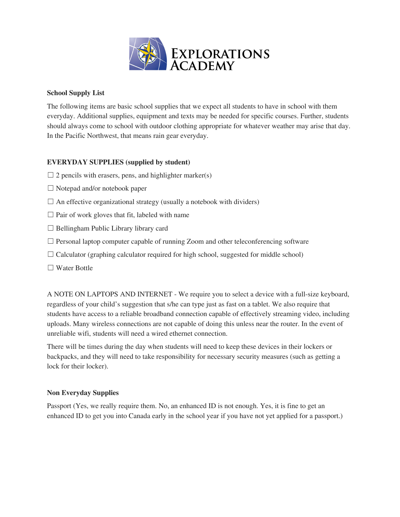

## **School Supply List**

The following items are basic school supplies that we expect all students to have in school with them everyday. Additional supplies, equipment and texts may be needed for specific courses. Further, students should always come to school with outdoor clothing appropriate for whatever weather may arise that day. In the Pacific Northwest, that means rain gear everyday.

## **EVERYDAY SUPPLIES (supplied by student)**

- $\Box$  2 pencils with erasers, pens, and highlighter marker(s)
- ☐ Notepad and/or notebook paper
- $\Box$  An effective organizational strategy (usually a notebook with dividers)
- $\Box$  Pair of work gloves that fit, labeled with name
- $\Box$  Bellingham Public Library library card
- $\Box$  Personal laptop computer capable of running Zoom and other teleconferencing software
- $\Box$  Calculator (graphing calculator required for high school, suggested for middle school)
- ☐ Water Bottle

A NOTE ON LAPTOPS AND INTERNET - We require you to select a device with a full-size keyboard, regardless of your child's suggestion that s/he can type just as fast on a tablet. We also require that students have access to a reliable broadband connection capable of effectively streaming video, including uploads. Many wireless connections are not capable of doing this unless near the router. In the event of unreliable wifi, students will need a wired ethernet connection.

There will be times during the day when students will need to keep these devices in their lockers or backpacks, and they will need to take responsibility for necessary security measures (such as getting a lock for their locker).

## **Non Everyday Supplies**

Passport (Yes, we really require them. No, an enhanced ID is not enough. Yes, it is fine to get an enhanced ID to get you into Canada early in the school year if you have not yet applied for a passport.)